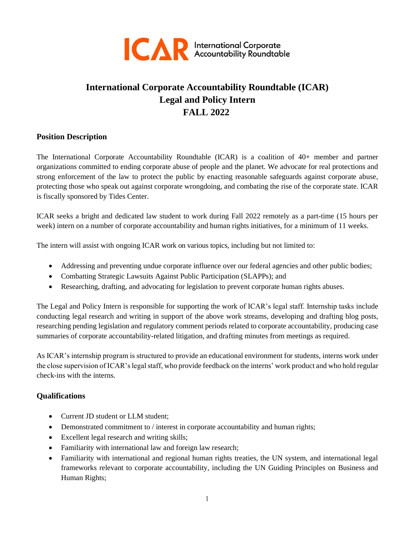

# **International Corporate Accountability Roundtable (ICAR) Legal and Policy Intern FALL 2022**

### **Position Description**

The International Corporate Accountability Roundtable (ICAR) is a coalition of 40+ member and partner organizations committed to ending corporate abuse of people and the planet. We advocate for real protections and strong enforcement of the law to protect the public by enacting reasonable safeguards against corporate abuse, protecting those who speak out against corporate wrongdoing, and combating the rise of the corporate state. ICAR is fiscally sponsored by Tides Center.

ICAR seeks a bright and dedicated law student to work during Fall 2022 remotely as a part-time (15 hours per week) intern on a number of corporate accountability and human rights initiatives, for a minimum of 11 weeks.

The intern will assist with ongoing ICAR work on various topics, including but not limited to:

- Addressing and preventing undue corporate influence over our federal agencies and other public bodies;
- Combatting Strategic Lawsuits Against Public Participation (SLAPPs); and
- Researching, drafting, and advocating for legislation to prevent corporate human rights abuses.

The Legal and Policy Intern is responsible for supporting the work of ICAR's legal staff. Internship tasks include conducting legal research and writing in support of the above work streams, developing and drafting blog posts, researching pending legislation and regulatory comment periods related to corporate accountability, producing case summaries of corporate accountability-related litigation, and drafting minutes from meetings as required.

As ICAR's internship program is structured to provide an educational environment for students, interns work under the close supervision of ICAR's legal staff, who provide feedback on the interns' work product and who hold regular check-ins with the interns.

# **Qualifications**

- Current JD student or LLM student;
- Demonstrated commitment to / interest in corporate accountability and human rights;
- Excellent legal research and writing skills;
- Familiarity with international law and foreign law research;
- Familiarity with international and regional human rights treaties, the UN system, and international legal frameworks relevant to corporate accountability, including the UN Guiding Principles on Business and Human Rights;